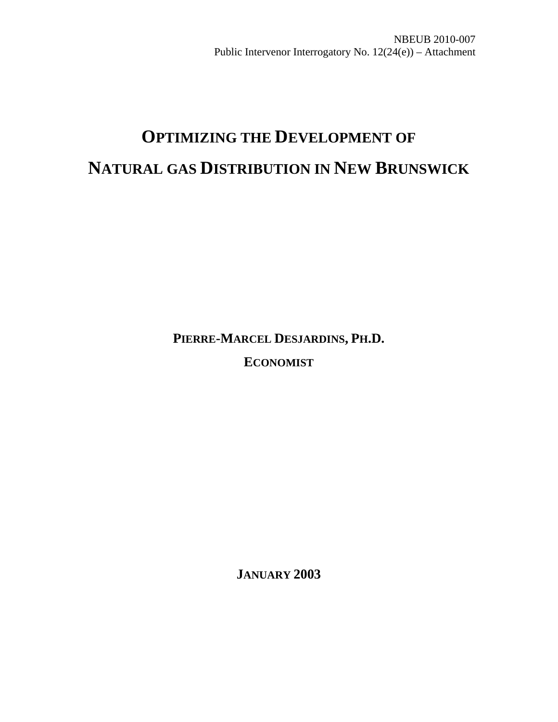# **OPTIMIZING THE DEVELOPMENT OF NATURAL GAS DISTRIBUTION IN NEW BRUNSWICK**

**PIERRE-MARCEL DESJARDINS, PH.D.** 

**ECONOMIST**

**JANUARY 2003**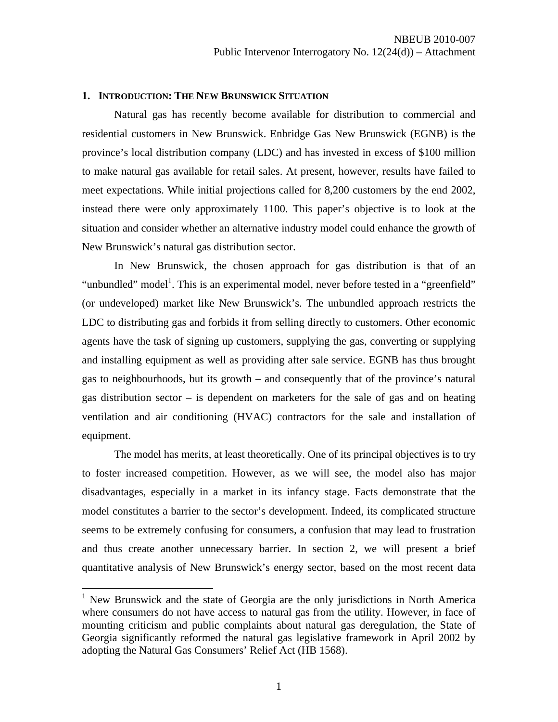#### **1. INTRODUCTION: THE NEW BRUNSWICK SITUATION**

Natural gas has recently become available for distribution to commercial and residential customers in New Brunswick. Enbridge Gas New Brunswick (EGNB) is the province's local distribution company (LDC) and has invested in excess of \$100 million to make natural gas available for retail sales. At present, however, results have failed to meet expectations. While initial projections called for 8,200 customers by the end 2002, instead there were only approximately 1100. This paper's objective is to look at the situation and consider whether an alternative industry model could enhance the growth of New Brunswick's natural gas distribution sector.

 In New Brunswick, the chosen approach for gas distribution is that of an "unbundled" model<sup>1</sup>. This is an experimental model, never before tested in a "greenfield" (or undeveloped) market like New Brunswick's. The unbundled approach restricts the LDC to distributing gas and forbids it from selling directly to customers. Other economic agents have the task of signing up customers, supplying the gas, converting or supplying and installing equipment as well as providing after sale service. EGNB has thus brought gas to neighbourhoods, but its growth – and consequently that of the province's natural gas distribution sector – is dependent on marketers for the sale of gas and on heating ventilation and air conditioning (HVAC) contractors for the sale and installation of equipment.

 The model has merits, at least theoretically. One of its principal objectives is to try to foster increased competition. However, as we will see, the model also has major disadvantages, especially in a market in its infancy stage. Facts demonstrate that the model constitutes a barrier to the sector's development. Indeed, its complicated structure seems to be extremely confusing for consumers, a confusion that may lead to frustration and thus create another unnecessary barrier. In section 2, we will present a brief quantitative analysis of New Brunswick's energy sector, based on the most recent data

 $\overline{a}$ 

<sup>&</sup>lt;sup>1</sup> New Brunswick and the state of Georgia are the only jurisdictions in North America where consumers do not have access to natural gas from the utility. However, in face of mounting criticism and public complaints about natural gas deregulation, the State of Georgia significantly reformed the natural gas legislative framework in April 2002 by adopting the Natural Gas Consumers' Relief Act (HB 1568).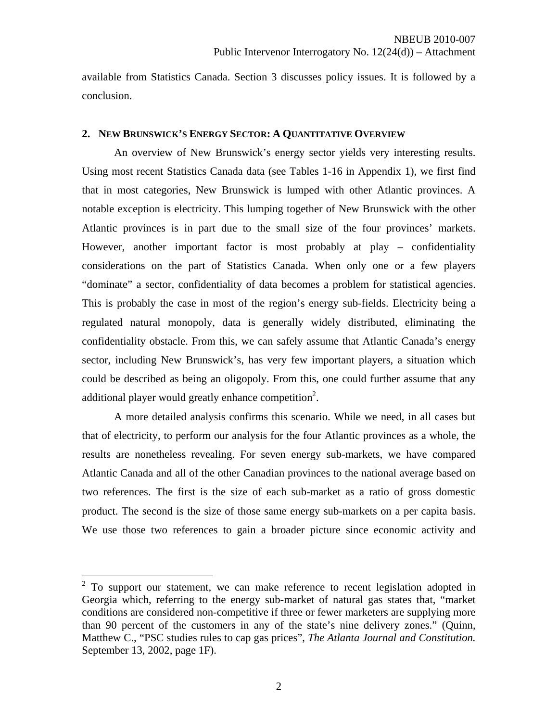available from Statistics Canada. Section 3 discusses policy issues. It is followed by a conclusion.

#### **2. NEW BRUNSWICK'S ENERGY SECTOR: A QUANTITATIVE OVERVIEW**

An overview of New Brunswick's energy sector yields very interesting results. Using most recent Statistics Canada data (see Tables 1-16 in Appendix 1), we first find that in most categories, New Brunswick is lumped with other Atlantic provinces. A notable exception is electricity. This lumping together of New Brunswick with the other Atlantic provinces is in part due to the small size of the four provinces' markets. However, another important factor is most probably at play – confidentiality considerations on the part of Statistics Canada. When only one or a few players "dominate" a sector, confidentiality of data becomes a problem for statistical agencies. This is probably the case in most of the region's energy sub-fields. Electricity being a regulated natural monopoly, data is generally widely distributed, eliminating the confidentiality obstacle. From this, we can safely assume that Atlantic Canada's energy sector, including New Brunswick's, has very few important players, a situation which could be described as being an oligopoly. From this, one could further assume that any additional player would greatly enhance competition<sup>2</sup>.

A more detailed analysis confirms this scenario. While we need, in all cases but that of electricity, to perform our analysis for the four Atlantic provinces as a whole, the results are nonetheless revealing. For seven energy sub-markets, we have compared Atlantic Canada and all of the other Canadian provinces to the national average based on two references. The first is the size of each sub-market as a ratio of gross domestic product. The second is the size of those same energy sub-markets on a per capita basis. We use those two references to gain a broader picture since economic activity and

<sup>&</sup>lt;sup>2</sup> To support our statement, we can make reference to recent legislation adopted in Georgia which, referring to the energy sub-market of natural gas states that, "market conditions are considered non-competitive if three or fewer marketers are supplying more than 90 percent of the customers in any of the state's nine delivery zones." (Quinn, Matthew C., "PSC studies rules to cap gas prices", *The Atlanta Journal and Constitution.* September 13, 2002, page 1F).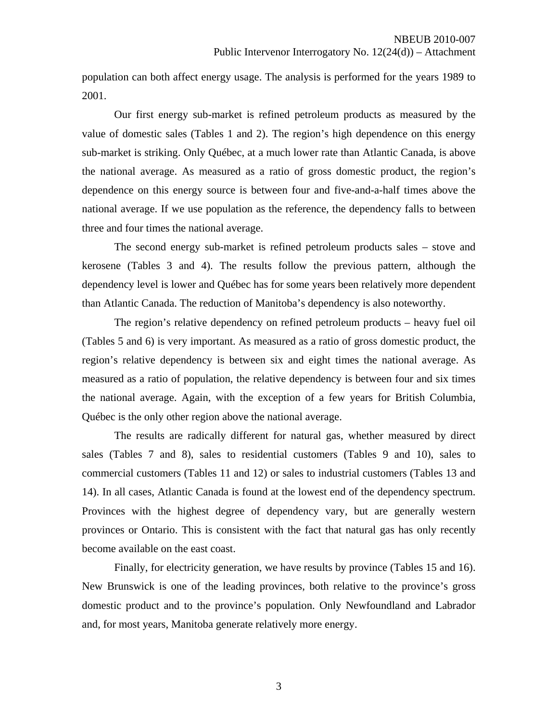population can both affect energy usage. The analysis is performed for the years 1989 to 2001.

Our first energy sub-market is refined petroleum products as measured by the value of domestic sales (Tables 1 and 2). The region's high dependence on this energy sub-market is striking. Only Québec, at a much lower rate than Atlantic Canada, is above the national average. As measured as a ratio of gross domestic product, the region's dependence on this energy source is between four and five-and-a-half times above the national average. If we use population as the reference, the dependency falls to between three and four times the national average.

The second energy sub-market is refined petroleum products sales – stove and kerosene (Tables 3 and 4). The results follow the previous pattern, although the dependency level is lower and Québec has for some years been relatively more dependent than Atlantic Canada. The reduction of Manitoba's dependency is also noteworthy.

The region's relative dependency on refined petroleum products – heavy fuel oil (Tables 5 and 6) is very important. As measured as a ratio of gross domestic product, the region's relative dependency is between six and eight times the national average. As measured as a ratio of population, the relative dependency is between four and six times the national average. Again, with the exception of a few years for British Columbia, Québec is the only other region above the national average.

The results are radically different for natural gas, whether measured by direct sales (Tables 7 and 8), sales to residential customers (Tables 9 and 10), sales to commercial customers (Tables 11 and 12) or sales to industrial customers (Tables 13 and 14). In all cases, Atlantic Canada is found at the lowest end of the dependency spectrum. Provinces with the highest degree of dependency vary, but are generally western provinces or Ontario. This is consistent with the fact that natural gas has only recently become available on the east coast.

Finally, for electricity generation, we have results by province (Tables 15 and 16). New Brunswick is one of the leading provinces, both relative to the province's gross domestic product and to the province's population. Only Newfoundland and Labrador and, for most years, Manitoba generate relatively more energy.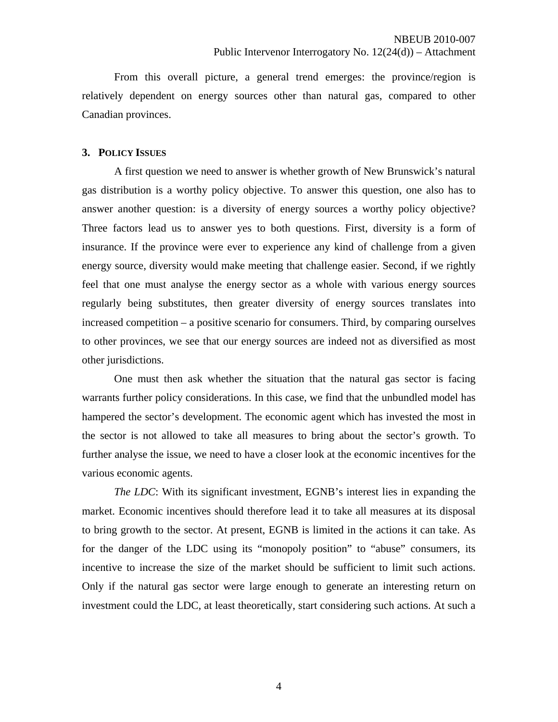From this overall picture, a general trend emerges: the province/region is relatively dependent on energy sources other than natural gas, compared to other Canadian provinces.

#### **3. POLICY ISSUES**

A first question we need to answer is whether growth of New Brunswick's natural gas distribution is a worthy policy objective. To answer this question, one also has to answer another question: is a diversity of energy sources a worthy policy objective? Three factors lead us to answer yes to both questions. First, diversity is a form of insurance. If the province were ever to experience any kind of challenge from a given energy source, diversity would make meeting that challenge easier. Second, if we rightly feel that one must analyse the energy sector as a whole with various energy sources regularly being substitutes, then greater diversity of energy sources translates into increased competition – a positive scenario for consumers. Third, by comparing ourselves to other provinces, we see that our energy sources are indeed not as diversified as most other jurisdictions.

One must then ask whether the situation that the natural gas sector is facing warrants further policy considerations. In this case, we find that the unbundled model has hampered the sector's development. The economic agent which has invested the most in the sector is not allowed to take all measures to bring about the sector's growth. To further analyse the issue, we need to have a closer look at the economic incentives for the various economic agents.

*The LDC*: With its significant investment, EGNB's interest lies in expanding the market. Economic incentives should therefore lead it to take all measures at its disposal to bring growth to the sector. At present, EGNB is limited in the actions it can take. As for the danger of the LDC using its "monopoly position" to "abuse" consumers, its incentive to increase the size of the market should be sufficient to limit such actions. Only if the natural gas sector were large enough to generate an interesting return on investment could the LDC, at least theoretically, start considering such actions. At such a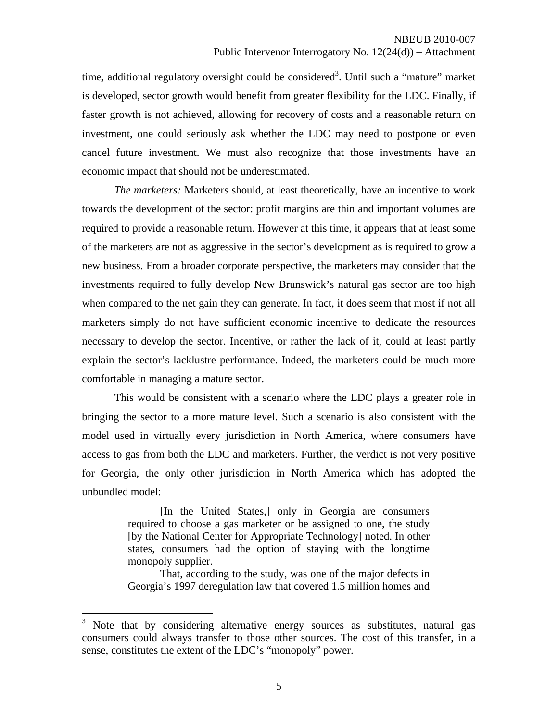time, additional regulatory oversight could be considered<sup>3</sup>. Until such a "mature" market is developed, sector growth would benefit from greater flexibility for the LDC. Finally, if faster growth is not achieved, allowing for recovery of costs and a reasonable return on investment, one could seriously ask whether the LDC may need to postpone or even cancel future investment. We must also recognize that those investments have an economic impact that should not be underestimated.

*The marketers:* Marketers should, at least theoretically, have an incentive to work towards the development of the sector: profit margins are thin and important volumes are required to provide a reasonable return. However at this time, it appears that at least some of the marketers are not as aggressive in the sector's development as is required to grow a new business. From a broader corporate perspective, the marketers may consider that the investments required to fully develop New Brunswick's natural gas sector are too high when compared to the net gain they can generate. In fact, it does seem that most if not all marketers simply do not have sufficient economic incentive to dedicate the resources necessary to develop the sector. Incentive, or rather the lack of it, could at least partly explain the sector's lacklustre performance. Indeed, the marketers could be much more comfortable in managing a mature sector.

This would be consistent with a scenario where the LDC plays a greater role in bringing the sector to a more mature level. Such a scenario is also consistent with the model used in virtually every jurisdiction in North America, where consumers have access to gas from both the LDC and marketers. Further, the verdict is not very positive for Georgia, the only other jurisdiction in North America which has adopted the unbundled model:

> [In the United States,] only in Georgia are consumers required to choose a gas marketer or be assigned to one, the study [by the National Center for Appropriate Technology] noted. In other states, consumers had the option of staying with the longtime monopoly supplier.

> That, according to the study, was one of the major defects in Georgia's 1997 deregulation law that covered 1.5 million homes and

 $\overline{a}$ 

<sup>3</sup> Note that by considering alternative energy sources as substitutes, natural gas consumers could always transfer to those other sources. The cost of this transfer, in a sense, constitutes the extent of the LDC's "monopoly" power.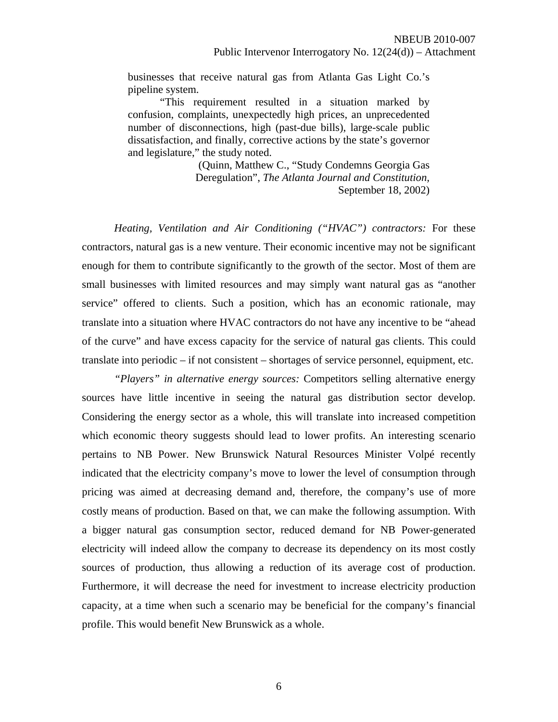businesses that receive natural gas from Atlanta Gas Light Co.'s pipeline system.

"This requirement resulted in a situation marked by confusion, complaints, unexpectedly high prices, an unprecedented number of disconnections, high (past-due bills), large-scale public dissatisfaction, and finally, corrective actions by the state's governor and legislature," the study noted.

> (Quinn, Matthew C., "Study Condemns Georgia Gas Deregulation", *The Atlanta Journal and Constitution,*  September 18, 2002)

*Heating, Ventilation and Air Conditioning ("HVAC") contractors:* For these contractors, natural gas is a new venture. Their economic incentive may not be significant enough for them to contribute significantly to the growth of the sector. Most of them are small businesses with limited resources and may simply want natural gas as "another service" offered to clients. Such a position, which has an economic rationale, may translate into a situation where HVAC contractors do not have any incentive to be "ahead of the curve" and have excess capacity for the service of natural gas clients. This could translate into periodic – if not consistent – shortages of service personnel, equipment, etc.

*"Players" in alternative energy sources:* Competitors selling alternative energy sources have little incentive in seeing the natural gas distribution sector develop. Considering the energy sector as a whole, this will translate into increased competition which economic theory suggests should lead to lower profits. An interesting scenario pertains to NB Power. New Brunswick Natural Resources Minister Volpé recently indicated that the electricity company's move to lower the level of consumption through pricing was aimed at decreasing demand and, therefore, the company's use of more costly means of production. Based on that, we can make the following assumption. With a bigger natural gas consumption sector, reduced demand for NB Power-generated electricity will indeed allow the company to decrease its dependency on its most costly sources of production, thus allowing a reduction of its average cost of production. Furthermore, it will decrease the need for investment to increase electricity production capacity, at a time when such a scenario may be beneficial for the company's financial profile. This would benefit New Brunswick as a whole.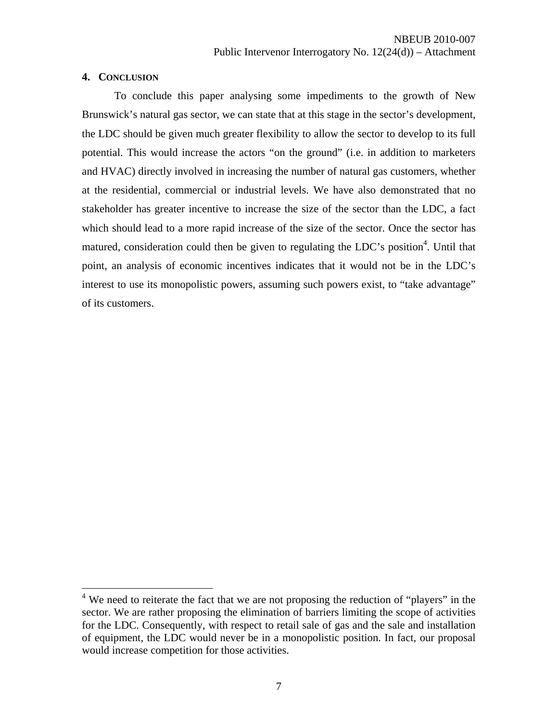### **4. CONCLUSION**

 $\overline{a}$ 

To conclude this paper analysing some impediments to the growth of New Brunswick's natural gas sector, we can state that at this stage in the sector's development, the LDC should be given much greater flexibility to allow the sector to develop to its full potential. This would increase the actors "on the ground" (i.e. in addition to marketers and HVAC) directly involved in increasing the number of natural gas customers, whether at the residential, commercial or industrial levels. We have also demonstrated that no stakeholder has greater incentive to increase the size of the sector than the LDC, a fact which should lead to a more rapid increase of the size of the sector. Once the sector has matured, consideration could then be given to regulating the LDC's position<sup>4</sup>. Until that point, an analysis of economic incentives indicates that it would not be in the LDC's interest to use its monopolistic powers, assuming such powers exist, to "take advantage" of its customers.

<sup>&</sup>lt;sup>4</sup> We need to reiterate the fact that we are not proposing the reduction of "players" in the sector. We are rather proposing the elimination of barriers limiting the scope of activities for the LDC. Consequently, with respect to retail sale of gas and the sale and installation of equipment, the LDC would never be in a monopolistic position. In fact, our proposal would increase competition for those activities.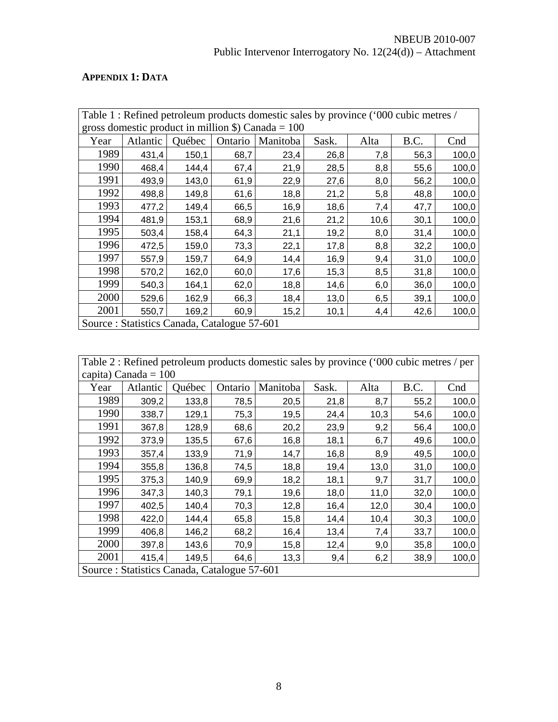## **APPENDIX 1: DATA**

|                                                                     | Table 1: Refined petroleum products domestic sales by province ('000 cubic metres / |        |         |          |       |      |      |       |  |  |  |
|---------------------------------------------------------------------|-------------------------------------------------------------------------------------|--------|---------|----------|-------|------|------|-------|--|--|--|
| gross domestic product in million $\hat{\mathbf{S}}$ ) Canada = 100 |                                                                                     |        |         |          |       |      |      |       |  |  |  |
| Year                                                                | Atlantic                                                                            | Québec | Ontario | Manitoba | Sask. | Alta | B.C. | Cnd   |  |  |  |
| 1989                                                                | 431,4                                                                               | 150,1  | 68,7    | 23,4     | 26,8  | 7,8  | 56,3 | 100,0 |  |  |  |
| 1990                                                                | 468,4                                                                               | 144,4  | 67,4    | 21,9     | 28,5  | 8,8  | 55,6 | 100,0 |  |  |  |
| 1991                                                                | 493,9<br>143,0<br>61,9<br>22,9<br>27,6<br>100,0<br>8,0<br>56,2                      |        |         |          |       |      |      |       |  |  |  |
| 1992                                                                | 149,8<br>21,2<br>498,8<br>61,6<br>18,8<br>5,8<br>48,8<br>100,0                      |        |         |          |       |      |      |       |  |  |  |
| 1993                                                                | 477,2                                                                               | 149,4  | 66,5    | 16,9     | 18,6  | 7,4  | 47,7 | 100,0 |  |  |  |
| 1994                                                                | 481,9                                                                               | 153,1  | 68,9    | 21,6     | 21,2  | 10,6 | 30,1 | 100,0 |  |  |  |
| 1995                                                                | 503,4                                                                               | 158,4  | 64,3    | 21,1     | 19,2  | 8,0  | 31,4 | 100,0 |  |  |  |
| 1996                                                                | 472,5                                                                               | 159,0  | 73,3    | 22,1     | 17,8  | 8,8  | 32,2 | 100,0 |  |  |  |
| 1997                                                                | 557,9                                                                               | 159,7  | 64,9    | 14,4     | 16,9  | 9,4  | 31,0 | 100,0 |  |  |  |
| 1998                                                                | 570,2                                                                               | 162,0  | 60,0    | 17,6     | 15,3  | 8,5  | 31,8 | 100,0 |  |  |  |
| 1999                                                                | 540,3                                                                               | 164,1  | 62,0    | 18,8     | 14,6  | 6,0  | 36,0 | 100,0 |  |  |  |
| 2000                                                                | 529,6                                                                               | 162,9  | 66,3    | 18,4     | 13,0  | 6,5  | 39,1 | 100,0 |  |  |  |
| 2001                                                                | 550,7                                                                               | 169,2  | 60,9    | 15,2     | 10,1  | 4,4  | 42,6 | 100,0 |  |  |  |
|                                                                     | Source: Statistics Canada, Catalogue 57-601                                         |        |         |          |       |      |      |       |  |  |  |

Table 2 : Refined petroleum products domestic sales by province ('000 cubic metres / per capita) Canada = 100

| Year | Atlantic | Québec                                      | Ontario | Manitoba | Sask. | Alta | B.C. | Cnd   |
|------|----------|---------------------------------------------|---------|----------|-------|------|------|-------|
| 1989 | 309,2    | 133,8                                       | 78,5    | 20,5     | 21,8  | 8,7  | 55,2 | 100,0 |
| 1990 | 338,7    | 129,1                                       | 75,3    | 19,5     | 24,4  | 10,3 | 54,6 | 100,0 |
| 1991 | 367,8    | 128,9                                       | 68,6    | 20,2     | 23,9  | 9,2  | 56,4 | 100,0 |
| 1992 | 373,9    | 135,5                                       | 67,6    | 16,8     | 18,1  | 6,7  | 49,6 | 100,0 |
| 1993 | 357,4    | 133,9                                       | 71,9    | 14,7     | 16,8  | 8,9  | 49,5 | 100,0 |
| 1994 | 355,8    | 136,8                                       | 74,5    | 18,8     | 19,4  | 13,0 | 31,0 | 100,0 |
| 1995 | 375,3    | 140,9                                       | 69,9    | 18,2     | 18,1  | 9,7  | 31,7 | 100,0 |
| 1996 | 347,3    | 140,3                                       | 79,1    | 19,6     | 18,0  | 11,0 | 32,0 | 100,0 |
| 1997 | 402,5    | 140,4                                       | 70,3    | 12,8     | 16,4  | 12,0 | 30,4 | 100,0 |
| 1998 | 422,0    | 144,4                                       | 65,8    | 15,8     | 14,4  | 10,4 | 30,3 | 100,0 |
| 1999 | 406,8    | 146,2                                       | 68,2    | 16,4     | 13,4  | 7,4  | 33,7 | 100,0 |
| 2000 | 397,8    | 143,6                                       | 70,9    | 15,8     | 12,4  | 9,0  | 35,8 | 100,0 |
| 2001 | 415,4    | 149,5                                       | 64,6    | 13,3     | 9,4   | 6,2  | 38,9 | 100,0 |
|      |          | Source: Statistics Canada, Catalogue 57-601 |         |          |       |      |      |       |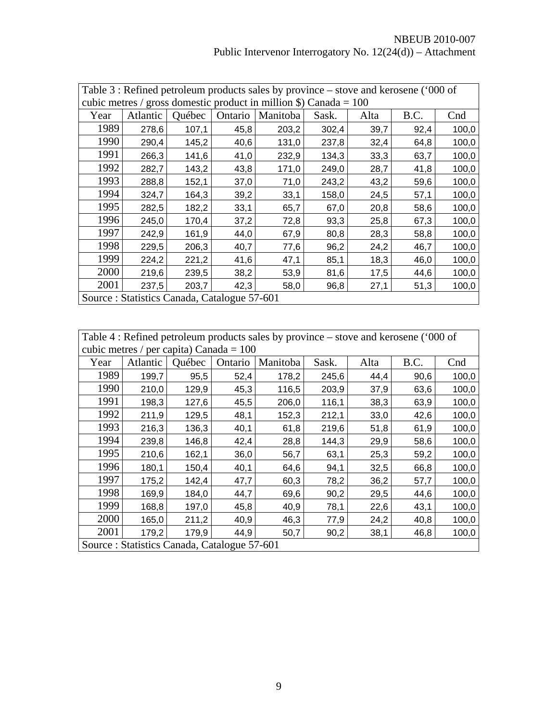|                                                                           | Table 3 : Refined petroleum products sales by province – stove and kerosene ('000 of |        |         |          |       |      |      |       |  |  |
|---------------------------------------------------------------------------|--------------------------------------------------------------------------------------|--------|---------|----------|-------|------|------|-------|--|--|
|                                                                           | cubic metres / gross domestic product in million \$) Canada = $100$                  |        |         |          |       |      |      |       |  |  |
| Year                                                                      | Atlantic                                                                             | Québec | Ontario | Manitoba | Sask. | Alta | B.C. | Cnd   |  |  |
| 1989                                                                      | 278,6                                                                                | 107,1  | 45,8    | 203,2    | 302,4 | 39,7 | 92,4 | 100,0 |  |  |
| 1990                                                                      | 290,4                                                                                | 145,2  | 40,6    | 131,0    | 237,8 | 32,4 | 64,8 | 100,0 |  |  |
| 1991<br>266,3<br>141,6<br>232,9<br>134,3<br>33,3<br>63,7<br>100,0<br>41,0 |                                                                                      |        |         |          |       |      |      |       |  |  |
| 1992<br>143,2<br>282,7<br>43,8<br>249,0<br>28,7<br>100,0<br>171,0<br>41,8 |                                                                                      |        |         |          |       |      |      |       |  |  |
| 1993                                                                      | 288,8                                                                                | 152,1  | 37,0    | 71,0     | 243,2 | 43,2 | 59,6 | 100,0 |  |  |
| 1994                                                                      | 324,7                                                                                | 164,3  | 39,2    | 33,1     | 158,0 | 24,5 | 57,1 | 100,0 |  |  |
| 1995                                                                      | 282,5                                                                                | 182,2  | 33,1    | 65,7     | 67,0  | 20,8 | 58,6 | 100,0 |  |  |
| 1996                                                                      | 245,0                                                                                | 170,4  | 37,2    | 72,8     | 93,3  | 25,8 | 67,3 | 100,0 |  |  |
| 1997                                                                      | 242,9                                                                                | 161,9  | 44,0    | 67,9     | 80,8  | 28,3 | 58,8 | 100,0 |  |  |
| 1998                                                                      | 229,5                                                                                | 206,3  | 40,7    | 77,6     | 96,2  | 24,2 | 46,7 | 100,0 |  |  |
| 1999                                                                      | 224,2                                                                                | 221,2  | 41,6    | 47,1     | 85,1  | 18,3 | 46,0 | 100,0 |  |  |
| 2000                                                                      | 219,6                                                                                | 239,5  | 38,2    | 53,9     | 81,6  | 17,5 | 44,6 | 100,0 |  |  |
| 2001                                                                      | 237,5                                                                                | 203,7  | 42,3    | 58,0     | 96,8  | 27,1 | 51,3 | 100,0 |  |  |
|                                                                           | Source: Statistics Canada, Catalogue 57-601                                          |        |         |          |       |      |      |       |  |  |

Table 4 : Refined petroleum products sales by province – stove and kerosene ('000 of cubic metres / per capita) Canada =

| $c$ ubic filcucs / per capita) Canada – TOO |          |        |         |          |       |      |      |       |
|---------------------------------------------|----------|--------|---------|----------|-------|------|------|-------|
| Year                                        | Atlantic | Québec | Ontario | Manitoba | Sask. | Alta | B.C. | Cnd   |
| 1989                                        | 199,7    | 95,5   | 52,4    | 178,2    | 245,6 | 44,4 | 90,6 | 100,0 |
| 1990                                        | 210,0    | 129,9  | 45,3    | 116,5    | 203,9 | 37,9 | 63,6 | 100,0 |
| 1991                                        | 198,3    | 127,6  | 45,5    | 206,0    | 116,1 | 38,3 | 63,9 | 100,0 |
| 1992                                        | 211,9    | 129,5  | 48,1    | 152,3    | 212,1 | 33,0 | 42,6 | 100,0 |
| 1993                                        | 216,3    | 136,3  | 40,1    | 61,8     | 219,6 | 51,8 | 61,9 | 100,0 |
| 1994                                        | 239,8    | 146,8  | 42,4    | 28,8     | 144,3 | 29,9 | 58,6 | 100,0 |
| 1995                                        | 210,6    | 162,1  | 36,0    | 56,7     | 63,1  | 25,3 | 59,2 | 100,0 |
| 1996                                        | 180,1    | 150,4  | 40,1    | 64,6     | 94,1  | 32,5 | 66,8 | 100,0 |
| 1997                                        | 175,2    | 142,4  | 47,7    | 60,3     | 78,2  | 36,2 | 57,7 | 100,0 |
| 1998                                        | 169,9    | 184,0  | 44,7    | 69,6     | 90,2  | 29,5 | 44,6 | 100,0 |
| 1999                                        | 168,8    | 197,0  | 45,8    | 40,9     | 78,1  | 22,6 | 43,1 | 100,0 |
| 2000                                        | 165,0    | 211,2  | 40,9    | 46,3     | 77,9  | 24,2 | 40,8 | 100,0 |
| 2001                                        | 179,2    | 179,9  | 44,9    | 50,7     | 90,2  | 38,1 | 46,8 | 100,0 |
| Source: Statistics Canada, Catalogue 57-601 |          |        |         |          |       |      |      |       |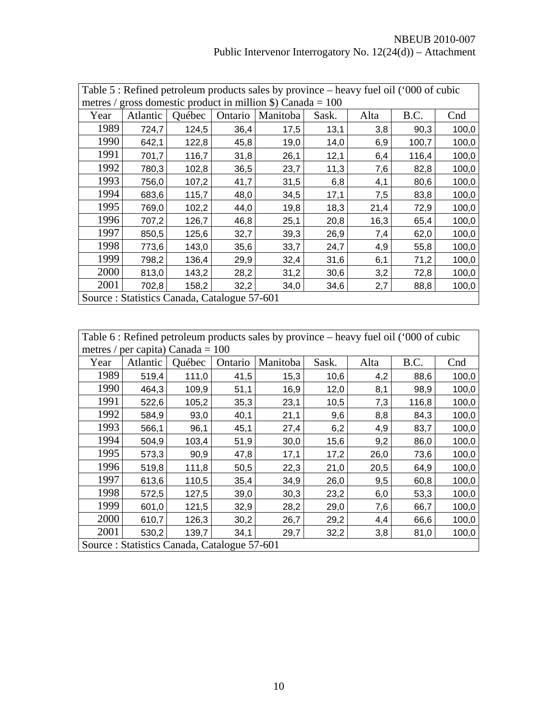|                                                                         | Table 5: Refined petroleum products sales by province – heavy fuel oil ('000 of cubic |        |         |          |       |      |       |       |  |  |
|-------------------------------------------------------------------------|---------------------------------------------------------------------------------------|--------|---------|----------|-------|------|-------|-------|--|--|
|                                                                         | metres / gross domestic product in million \$) Canada = $100$                         |        |         |          |       |      |       |       |  |  |
| Year                                                                    | Atlantic                                                                              | Québec | Ontario | Manitoba | Sask. | Alta | B.C.  | Cnd   |  |  |
| 1989                                                                    | 724,7                                                                                 | 124,5  | 36,4    | 17,5     | 13,1  | 3,8  | 90,3  | 100,0 |  |  |
| 1990                                                                    | 642,1                                                                                 | 122,8  | 45,8    | 19,0     | 14,0  | 6,9  | 100,7 | 100,0 |  |  |
| 1991<br>701,7<br>116,7<br>31,8<br>26,1<br>12,1<br>116,4<br>100,0<br>6,4 |                                                                                       |        |         |          |       |      |       |       |  |  |
| 1992                                                                    | 780,3<br>102,8<br>23,7<br>82,8<br>36,5<br>11,3<br>100,0<br>7,6                        |        |         |          |       |      |       |       |  |  |
| 1993                                                                    | 756,0                                                                                 | 107,2  | 41,7    | 31,5     | 6,8   | 4,1  | 80,6  | 100,0 |  |  |
| 1994                                                                    | 683,6                                                                                 | 115,7  | 48,0    | 34,5     | 17,1  | 7,5  | 83,8  | 100,0 |  |  |
| 1995                                                                    | 769,0                                                                                 | 102,2  | 44,0    | 19,8     | 18,3  | 21,4 | 72,9  | 100,0 |  |  |
| 1996                                                                    | 707,2                                                                                 | 126,7  | 46,8    | 25,1     | 20,8  | 16,3 | 65,4  | 100,0 |  |  |
| 1997                                                                    | 850,5                                                                                 | 125,6  | 32,7    | 39,3     | 26,9  | 7,4  | 62,0  | 100,0 |  |  |
| 1998                                                                    | 773,6                                                                                 | 143,0  | 35,6    | 33,7     | 24,7  | 4,9  | 55,8  | 100,0 |  |  |
| 1999                                                                    | 798,2                                                                                 | 136,4  | 29,9    | 32,4     | 31,6  | 6,1  | 71,2  | 100,0 |  |  |
| 2000                                                                    | 813,0                                                                                 | 143,2  | 28,2    | 31,2     | 30,6  | 3,2  | 72,8  | 100,0 |  |  |
| 2001                                                                    | 702,8                                                                                 | 158,2  | 32,2    | 34,0     | 34,6  | 2,7  | 88,8  | 100,0 |  |  |
|                                                                         | Source: Statistics Canada, Catalogue 57-601                                           |        |         |          |       |      |       |       |  |  |

Table 6 : Refined petroleum products sales by province – heavy fuel oil ('000 of cubic metres / per capita) Canada =

| IICUCS/ | $\mathcal{V}$ ci Capita) Caliaua – TUU |                                             |         |          |       |      |       |       |
|---------|----------------------------------------|---------------------------------------------|---------|----------|-------|------|-------|-------|
| Year    | Atlantic                               | Québec                                      | Ontario | Manitoba | Sask. | Alta | B.C.  | Cnd   |
| 1989    | 519,4                                  | 111,0                                       | 41,5    | 15,3     | 10,6  | 4,2  | 88,6  | 100,0 |
| 1990    | 464,3                                  | 109,9                                       | 51,1    | 16,9     | 12,0  | 8,1  | 98,9  | 100,0 |
| 1991    | 522,6                                  | 105,2                                       | 35,3    | 23,1     | 10,5  | 7,3  | 116,8 | 100,0 |
| 1992    | 584,9                                  | 93,0                                        | 40,1    | 21,1     | 9,6   | 8,8  | 84,3  | 100,0 |
| 1993    | 566,1                                  | 96,1                                        | 45,1    | 27,4     | 6,2   | 4,9  | 83,7  | 100,0 |
| 1994    | 504,9                                  | 103,4                                       | 51,9    | 30,0     | 15,6  | 9,2  | 86,0  | 100,0 |
| 1995    | 573,3                                  | 90,9                                        | 47,8    | 17,1     | 17,2  | 26,0 | 73,6  | 100,0 |
| 1996    | 519,8                                  | 111,8                                       | 50,5    | 22,3     | 21,0  | 20,5 | 64,9  | 100,0 |
| 1997    | 613,6                                  | 110,5                                       | 35,4    | 34,9     | 26,0  | 9,5  | 60,8  | 100,0 |
| 1998    | 572,5                                  | 127,5                                       | 39,0    | 30,3     | 23,2  | 6,0  | 53,3  | 100,0 |
| 1999    | 601,0                                  | 121,5                                       | 32,9    | 28,2     | 29,0  | 7,6  | 66,7  | 100,0 |
| 2000    | 610,7                                  | 126,3                                       | 30,2    | 26,7     | 29,2  | 4,4  | 66,6  | 100,0 |
| 2001    | 530,2                                  | 139,7                                       | 34,1    | 29,7     | 32,2  | 3,8  | 81,0  | 100,0 |
|         |                                        | Source: Statistics Canada, Catalogue 57-601 |         |          |       |      |       |       |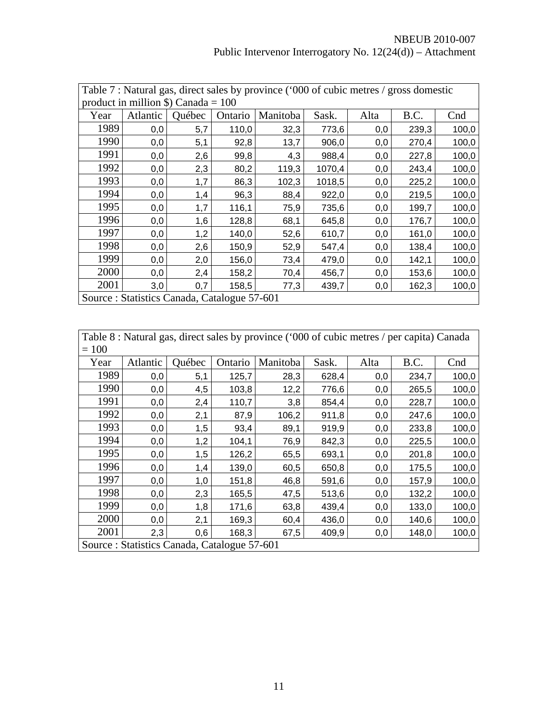|      | Table 7: Natural gas, direct sales by province ('000 of cubic metres / gross domestic |        |         |          |        |      |       |       |  |  |  |
|------|---------------------------------------------------------------------------------------|--------|---------|----------|--------|------|-------|-------|--|--|--|
|      | product in million \$) Canada = $100$                                                 |        |         |          |        |      |       |       |  |  |  |
| Year | Atlantic                                                                              | Québec | Ontario | Manitoba | Sask.  | Alta | B.C.  | Cnd   |  |  |  |
| 1989 | 0,0                                                                                   | 5,7    | 110,0   | 32,3     | 773,6  | 0,0  | 239,3 | 100,0 |  |  |  |
| 1990 | 0,0                                                                                   | 5,1    | 92,8    | 13,7     | 906,0  | 0,0  | 270,4 | 100,0 |  |  |  |
| 1991 | 227,8<br>2,6<br>99,8<br>4,3<br>988,4<br>100,0<br>0,0<br>0,0                           |        |         |          |        |      |       |       |  |  |  |
| 1992 | 2,3<br>80,2<br>119,3<br>1070,4<br>243,4<br>100,0<br>0,0<br>0,0                        |        |         |          |        |      |       |       |  |  |  |
| 1993 | 0,0                                                                                   | 1,7    | 86,3    | 102,3    | 1018,5 | 0,0  | 225,2 | 100,0 |  |  |  |
| 1994 | 0,0                                                                                   | 1,4    | 96,3    | 88,4     | 922,0  | 0,0  | 219,5 | 100,0 |  |  |  |
| 1995 | 0,0                                                                                   | 1,7    | 116,1   | 75,9     | 735,6  | 0,0  | 199,7 | 100,0 |  |  |  |
| 1996 | 0,0                                                                                   | 1,6    | 128,8   | 68,1     | 645,8  | 0,0  | 176,7 | 100,0 |  |  |  |
| 1997 | 0,0                                                                                   | 1,2    | 140,0   | 52,6     | 610,7  | 0,0  | 161,0 | 100,0 |  |  |  |
| 1998 | 0,0                                                                                   | 2,6    | 150,9   | 52,9     | 547,4  | 0,0  | 138,4 | 100,0 |  |  |  |
| 1999 | 0,0                                                                                   | 2,0    | 156,0   | 73,4     | 479,0  | 0,0  | 142,1 | 100,0 |  |  |  |
| 2000 | 0,0                                                                                   | 2,4    | 158,2   | 70,4     | 456,7  | 0,0  | 153,6 | 100,0 |  |  |  |
| 2001 | 3,0                                                                                   | 0,7    | 158,5   | 77,3     | 439,7  | 0,0  | 162,3 | 100,0 |  |  |  |
|      | Source: Statistics Canada, Catalogue 57-601                                           |        |         |          |        |      |       |       |  |  |  |

|         | Table 8 : Natural gas, direct sales by province ('000 of cubic metres / per capita) Canada |  |
|---------|--------------------------------------------------------------------------------------------|--|
| $= 100$ |                                                                                            |  |

| $=100$ |          |                                             |         |          |       |      |       |       |
|--------|----------|---------------------------------------------|---------|----------|-------|------|-------|-------|
| Year   | Atlantic | Québec                                      | Ontario | Manitoba | Sask. | Alta | B.C.  | Cnd   |
| 1989   | 0,0      | 5,1                                         | 125,7   | 28,3     | 628,4 | 0,0  | 234,7 | 100,0 |
| 1990   | 0,0      | 4,5                                         | 103,8   | 12,2     | 776,6 | 0,0  | 265,5 | 100,0 |
| 1991   | 0,0      | 2,4                                         | 110,7   | 3,8      | 854,4 | 0,0  | 228,7 | 100,0 |
| 1992   | 0,0      | 2,1                                         | 87,9    | 106,2    | 911,8 | 0,0  | 247,6 | 100,0 |
| 1993   | 0,0      | 1,5                                         | 93,4    | 89,1     | 919,9 | 0,0  | 233,8 | 100,0 |
| 1994   | 0,0      | 1,2                                         | 104,1   | 76,9     | 842,3 | 0,0  | 225,5 | 100,0 |
| 1995   | 0,0      | 1,5                                         | 126,2   | 65,5     | 693,1 | 0,0  | 201,8 | 100,0 |
| 1996   | 0,0      | 1,4                                         | 139,0   | 60,5     | 650,8 | 0,0  | 175,5 | 100,0 |
| 1997   | 0,0      | 1,0                                         | 151,8   | 46,8     | 591,6 | 0,0  | 157,9 | 100,0 |
| 1998   | 0,0      | 2,3                                         | 165,5   | 47,5     | 513,6 | 0,0  | 132,2 | 100,0 |
| 1999   | 0,0      | 1,8                                         | 171,6   | 63,8     | 439,4 | 0,0  | 133,0 | 100,0 |
| 2000   | 0,0      | 2,1                                         | 169,3   | 60,4     | 436,0 | 0,0  | 140,6 | 100,0 |
| 2001   | 2,3      | 0,6                                         | 168,3   | 67,5     | 409,9 | 0,0  | 148,0 | 100,0 |
|        |          | Source: Statistics Canada, Catalogue 57-601 |         |          |       |      |       |       |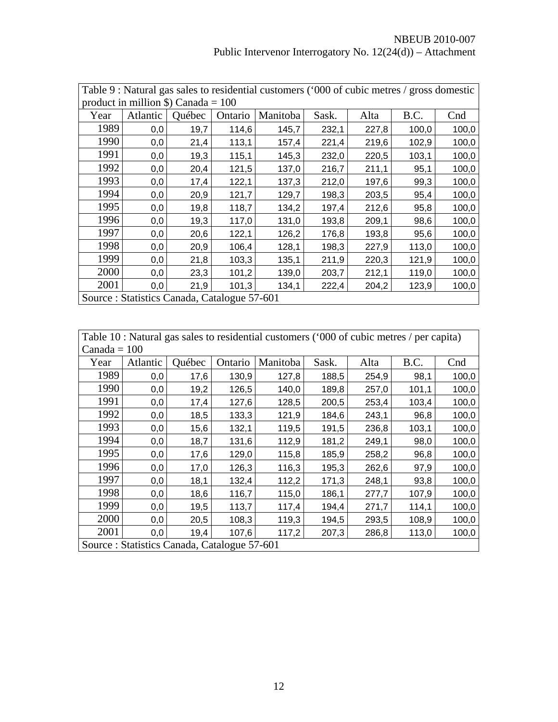|      | Table 9 : Natural gas sales to residential customers ('000 of cubic metres / gross domestic |        |         |          |       |       |       |       |  |
|------|---------------------------------------------------------------------------------------------|--------|---------|----------|-------|-------|-------|-------|--|
|      | product in million $\$ ) Canada = 100                                                       |        |         |          |       |       |       |       |  |
| Year | Atlantic                                                                                    | Québec | Ontario | Manitoba | Sask. | Alta  | B.C.  | Cnd   |  |
| 1989 | 0,0                                                                                         | 19,7   | 114,6   | 145,7    | 232,1 | 227,8 | 100,0 | 100,0 |  |
| 1990 | 0,0                                                                                         | 21,4   | 113,1   | 157,4    | 221,4 | 219,6 | 102,9 | 100,0 |  |
| 1991 | 0,0                                                                                         | 19,3   | 115,1   | 145,3    | 232,0 | 220,5 | 103,1 | 100,0 |  |
| 1992 | 0,0                                                                                         | 20,4   | 121,5   | 137,0    | 216,7 | 211,1 | 95,1  | 100,0 |  |
| 1993 | 0,0                                                                                         | 17,4   | 122,1   | 137,3    | 212,0 | 197,6 | 99,3  | 100,0 |  |
| 1994 | 0,0                                                                                         | 20,9   | 121,7   | 129,7    | 198,3 | 203,5 | 95,4  | 100,0 |  |
| 1995 | 0,0                                                                                         | 19,8   | 118,7   | 134,2    | 197,4 | 212,6 | 95,8  | 100,0 |  |
| 1996 | 0,0                                                                                         | 19,3   | 117,0   | 131,0    | 193,8 | 209,1 | 98,6  | 100,0 |  |
| 1997 | 0,0                                                                                         | 20,6   | 122,1   | 126,2    | 176,8 | 193,8 | 95,6  | 100,0 |  |
| 1998 | 0,0                                                                                         | 20,9   | 106,4   | 128,1    | 198,3 | 227,9 | 113,0 | 100,0 |  |
| 1999 | 0,0                                                                                         | 21,8   | 103,3   | 135,1    | 211,9 | 220,3 | 121,9 | 100,0 |  |
| 2000 | 0,0                                                                                         | 23,3   | 101,2   | 139,0    | 203,7 | 212,1 | 119,0 | 100,0 |  |
| 2001 | 0,0                                                                                         | 21,9   | 101,3   | 134,1    | 222,4 | 204,2 | 123,9 | 100,0 |  |
|      | Source: Statistics Canada, Catalogue 57-601                                                 |        |         |          |       |       |       |       |  |

Table 10 : Natural gas sales to residential customers ('000 of cubic metres / per capita)  $Canada = 100$ 

| Canaua – TUU |          |                                             |         |          |       |       |       |       |
|--------------|----------|---------------------------------------------|---------|----------|-------|-------|-------|-------|
| Year         | Atlantic | Québec                                      | Ontario | Manitoba | Sask. | Alta  | B.C.  | Cnd   |
| 1989         | 0,0      | 17,6                                        | 130,9   | 127,8    | 188,5 | 254,9 | 98,1  | 100,0 |
| 1990         | 0,0      | 19,2                                        | 126,5   | 140,0    | 189,8 | 257,0 | 101,1 | 100,0 |
| 1991         | 0,0      | 17,4                                        | 127,6   | 128,5    | 200,5 | 253,4 | 103,4 | 100,0 |
| 1992         | 0,0      | 18,5                                        | 133,3   | 121,9    | 184,6 | 243,1 | 96,8  | 100,0 |
| 1993         | 0,0      | 15,6                                        | 132,1   | 119,5    | 191,5 | 236,8 | 103,1 | 100,0 |
| 1994         | 0,0      | 18,7                                        | 131,6   | 112,9    | 181,2 | 249,1 | 98,0  | 100,0 |
| 1995         | 0,0      | 17,6                                        | 129,0   | 115,8    | 185,9 | 258,2 | 96,8  | 100,0 |
| 1996         | 0,0      | 17,0                                        | 126,3   | 116,3    | 195,3 | 262,6 | 97,9  | 100,0 |
| 1997         | 0,0      | 18,1                                        | 132,4   | 112,2    | 171,3 | 248,1 | 93,8  | 100,0 |
| 1998         | 0,0      | 18,6                                        | 116,7   | 115,0    | 186,1 | 277,7 | 107,9 | 100,0 |
| 1999         | 0,0      | 19,5                                        | 113,7   | 117,4    | 194,4 | 271,7 | 114,1 | 100,0 |
| 2000         | 0,0      | 20,5                                        | 108,3   | 119,3    | 194,5 | 293,5 | 108,9 | 100,0 |
| 2001         | 0,0      | 19,4                                        | 107,6   | 117,2    | 207,3 | 286,8 | 113,0 | 100,0 |
|              |          | Source: Statistics Canada, Catalogue 57-601 |         |          |       |       |       |       |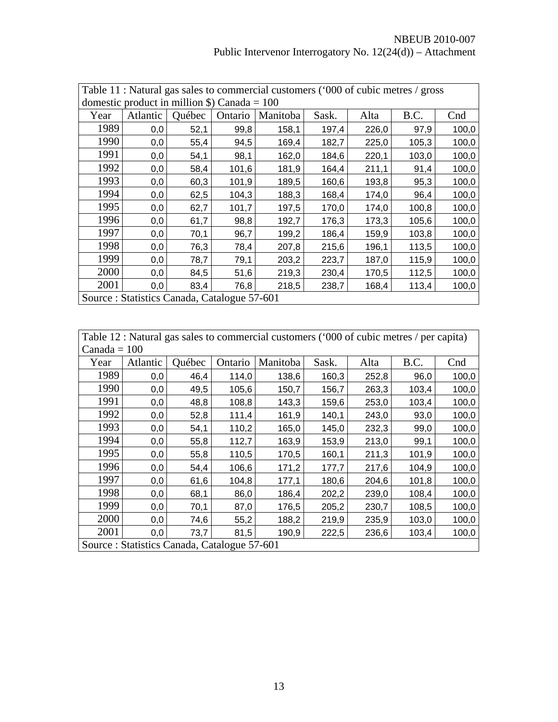|                                                                          | Table 11 : Natural gas sales to commercial customers ('000 of cubic metres / gross |               |         |          |       |       |       |       |  |  |  |
|--------------------------------------------------------------------------|------------------------------------------------------------------------------------|---------------|---------|----------|-------|-------|-------|-------|--|--|--|
| domestic product in million $\$ ) Canada = 100                           |                                                                                    |               |         |          |       |       |       |       |  |  |  |
| Year                                                                     | Atlantic                                                                           | <b>Ouébec</b> | Ontario | Manitoba | Sask. | Alta  | B.C.  | Cnd   |  |  |  |
| 1989                                                                     | 0,0                                                                                | 52,1          | 99,8    | 158,1    | 197,4 | 226,0 | 97,9  | 100,0 |  |  |  |
| 1990                                                                     | 0,0                                                                                | 55,4          | 94,5    | 169,4    | 182,7 | 225,0 | 105,3 | 100,0 |  |  |  |
| 1991<br>100,0<br>54,1<br>98,1<br>162,0<br>184,6<br>220,1<br>103,0<br>0,0 |                                                                                    |               |         |          |       |       |       |       |  |  |  |
| 1992                                                                     | 58,4<br>211,1<br>100,0<br>0,0<br>101,6<br>181,9<br>164,4<br>91,4                   |               |         |          |       |       |       |       |  |  |  |
| 1993                                                                     | 0,0                                                                                | 60,3          | 101,9   | 189,5    | 160,6 | 193,8 | 95,3  | 100,0 |  |  |  |
| 1994                                                                     | 0,0                                                                                | 62,5          | 104,3   | 188,3    | 168,4 | 174,0 | 96,4  | 100,0 |  |  |  |
| 1995                                                                     | 0,0                                                                                | 62,7          | 101,7   | 197,5    | 170,0 | 174,0 | 100,8 | 100,0 |  |  |  |
| 1996                                                                     | 0,0                                                                                | 61,7          | 98,8    | 192,7    | 176,3 | 173,3 | 105,6 | 100,0 |  |  |  |
| 1997                                                                     | 0,0                                                                                | 70,1          | 96,7    | 199,2    | 186,4 | 159,9 | 103,8 | 100,0 |  |  |  |
| 1998                                                                     | 0,0                                                                                | 76,3          | 78,4    | 207,8    | 215,6 | 196,1 | 113,5 | 100,0 |  |  |  |
| 1999                                                                     | 0,0                                                                                | 78,7          | 79,1    | 203,2    | 223,7 | 187,0 | 115,9 | 100,0 |  |  |  |
| 2000                                                                     | 0,0                                                                                | 84,5          | 51,6    | 219,3    | 230,4 | 170,5 | 112,5 | 100,0 |  |  |  |
| 2001                                                                     | 0,0                                                                                | 83,4          | 76,8    | 218,5    | 238,7 | 168,4 | 113,4 | 100,0 |  |  |  |
|                                                                          | Source: Statistics Canada, Catalogue 57-601                                        |               |         |          |       |       |       |       |  |  |  |

| Table 12 : Natural gas sales to commercial customers ('000 of cubic metres / per capita) |  |
|------------------------------------------------------------------------------------------|--|
| $Canada = 100$                                                                           |  |

| Caliqua – TUU |                                             |        |         |          |       |       |       |       |  |  |  |
|---------------|---------------------------------------------|--------|---------|----------|-------|-------|-------|-------|--|--|--|
| Year          | Atlantic                                    | Québec | Ontario | Manitoba | Sask. | Alta  | B.C.  | Cnd   |  |  |  |
| 1989          | 0,0                                         | 46,4   | 114,0   | 138,6    | 160,3 | 252,8 | 96,0  | 100,0 |  |  |  |
| 1990          | 0,0                                         | 49,5   | 105,6   | 150,7    | 156,7 | 263,3 | 103,4 | 100,0 |  |  |  |
| 1991          | 0,0                                         | 48,8   | 108,8   | 143,3    | 159,6 | 253,0 | 103,4 | 100,0 |  |  |  |
| 1992          | 0,0                                         | 52,8   | 111,4   | 161,9    | 140,1 | 243,0 | 93,0  | 100,0 |  |  |  |
| 1993          | 0,0                                         | 54,1   | 110,2   | 165,0    | 145,0 | 232,3 | 99,0  | 100,0 |  |  |  |
| 1994          | 0,0                                         | 55,8   | 112,7   | 163,9    | 153,9 | 213,0 | 99,1  | 100,0 |  |  |  |
| 1995          | 0,0                                         | 55,8   | 110,5   | 170,5    | 160,1 | 211,3 | 101,9 | 100,0 |  |  |  |
| 1996          | 0,0                                         | 54,4   | 106,6   | 171,2    | 177,7 | 217,6 | 104,9 | 100,0 |  |  |  |
| 1997          | 0,0                                         | 61,6   | 104,8   | 177,1    | 180,6 | 204,6 | 101,8 | 100,0 |  |  |  |
| 1998          | 0,0                                         | 68,1   | 86,0    | 186,4    | 202,2 | 239,0 | 108,4 | 100,0 |  |  |  |
| 1999          | 0,0                                         | 70,1   | 87,0    | 176,5    | 205,2 | 230,7 | 108,5 | 100,0 |  |  |  |
| 2000          | 0,0                                         | 74,6   | 55,2    | 188,2    | 219,9 | 235,9 | 103,0 | 100,0 |  |  |  |
| 2001          | 0,0                                         | 73,7   | 81,5    | 190,9    | 222,5 | 236,6 | 103,4 | 100,0 |  |  |  |
|               | Source: Statistics Canada, Catalogue 57-601 |        |         |          |       |       |       |       |  |  |  |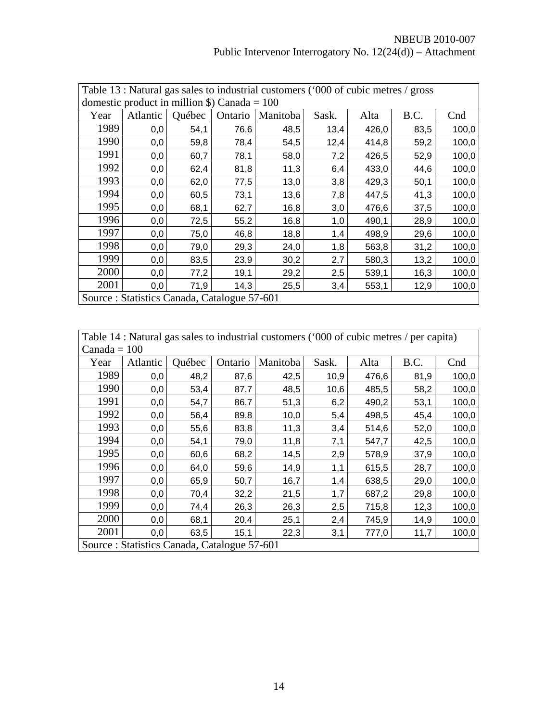| Table 13 : Natural gas sales to industrial customers ('000 of cubic metres / gross |                                                                                  |      |      |      |      |       |      |       |  |  |  |
|------------------------------------------------------------------------------------|----------------------------------------------------------------------------------|------|------|------|------|-------|------|-------|--|--|--|
| domestic product in million $\$ ) Canada = 100                                     |                                                                                  |      |      |      |      |       |      |       |  |  |  |
| Year                                                                               | <b>Ouébec</b><br>B.C.<br>Atlantic<br>Alta<br>Cnd<br>Ontario<br>Manitoba<br>Sask. |      |      |      |      |       |      |       |  |  |  |
| 1989                                                                               | 0,0                                                                              | 54,1 | 76,6 | 48,5 | 13,4 | 426,0 | 83,5 | 100,0 |  |  |  |
| 1990                                                                               | 0,0                                                                              | 59,8 | 78,4 | 54,5 | 12,4 | 414,8 | 59,2 | 100,0 |  |  |  |
| 1991                                                                               | 0,0                                                                              | 60,7 | 78,1 | 58,0 | 7,2  | 426,5 | 52,9 | 100,0 |  |  |  |
| 1992                                                                               | 0,0                                                                              | 62,4 | 81,8 | 11,3 | 6,4  | 433,0 | 44,6 | 100,0 |  |  |  |
| 1993                                                                               | 0,0                                                                              | 62,0 | 77,5 | 13,0 | 3,8  | 429,3 | 50,1 | 100,0 |  |  |  |
| 1994                                                                               | 0,0                                                                              | 60,5 | 73,1 | 13,6 | 7,8  | 447,5 | 41,3 | 100,0 |  |  |  |
| 1995                                                                               | 0,0                                                                              | 68,1 | 62,7 | 16,8 | 3,0  | 476,6 | 37,5 | 100,0 |  |  |  |
| 1996                                                                               | 0,0                                                                              | 72,5 | 55,2 | 16,8 | 1,0  | 490,1 | 28,9 | 100,0 |  |  |  |
| 1997                                                                               | 0,0                                                                              | 75,0 | 46,8 | 18,8 | 1,4  | 498,9 | 29,6 | 100,0 |  |  |  |
| 1998                                                                               | 0,0                                                                              | 79,0 | 29,3 | 24,0 | 1,8  | 563,8 | 31,2 | 100,0 |  |  |  |
| 1999                                                                               | 0,0                                                                              | 83,5 | 23,9 | 30,2 | 2,7  | 580,3 | 13,2 | 100,0 |  |  |  |
| 2000                                                                               | 0,0                                                                              | 77,2 | 19,1 | 29,2 | 2,5  | 539,1 | 16,3 | 100,0 |  |  |  |
| 2001                                                                               | 0,0                                                                              | 71,9 | 14,3 | 25,5 | 3,4  | 553,1 | 12,9 | 100,0 |  |  |  |
| Source: Statistics Canada, Catalogue 57-601                                        |                                                                                  |      |      |      |      |       |      |       |  |  |  |

Table 14 : Natural gas sales to industrial customers ('000 of cubic metres / per capita)  $Canada = 100$ 

|      | $\text{Canada} = 100$                       |        |         |          |       |       |      |       |  |  |  |
|------|---------------------------------------------|--------|---------|----------|-------|-------|------|-------|--|--|--|
| Year | Atlantic                                    | Québec | Ontario | Manitoba | Sask. | Alta  | B.C. | Cnd   |  |  |  |
| 1989 | 0,0                                         | 48,2   | 87,6    | 42,5     | 10,9  | 476,6 | 81,9 | 100,0 |  |  |  |
| 1990 | 0,0                                         | 53,4   | 87,7    | 48,5     | 10,6  | 485,5 | 58,2 | 100,0 |  |  |  |
| 1991 | 0,0                                         | 54,7   | 86,7    | 51,3     | 6,2   | 490,2 | 53,1 | 100,0 |  |  |  |
| 1992 | 0,0                                         | 56,4   | 89,8    | 10,0     | 5,4   | 498,5 | 45,4 | 100,0 |  |  |  |
| 1993 | 0,0                                         | 55,6   | 83,8    | 11,3     | 3,4   | 514,6 | 52,0 | 100,0 |  |  |  |
| 1994 | 0,0                                         | 54,1   | 79,0    | 11,8     | 7,1   | 547,7 | 42,5 | 100,0 |  |  |  |
| 1995 | 0,0                                         | 60,6   | 68,2    | 14,5     | 2,9   | 578,9 | 37,9 | 100,0 |  |  |  |
| 1996 | 0,0                                         | 64,0   | 59,6    | 14,9     | 1,1   | 615,5 | 28,7 | 100,0 |  |  |  |
| 1997 | 0,0                                         | 65,9   | 50,7    | 16,7     | 1,4   | 638,5 | 29,0 | 100,0 |  |  |  |
| 1998 | 0,0                                         | 70,4   | 32,2    | 21,5     | 1,7   | 687,2 | 29,8 | 100,0 |  |  |  |
| 1999 | 0,0                                         | 74,4   | 26,3    | 26,3     | 2,5   | 715,8 | 12,3 | 100,0 |  |  |  |
| 2000 | 0,0                                         | 68,1   | 20,4    | 25,1     | 2,4   | 745,9 | 14,9 | 100,0 |  |  |  |
| 2001 | 0,0                                         | 63,5   | 15,1    | 22,3     | 3,1   | 777,0 | 11,7 | 100,0 |  |  |  |
|      | Source: Statistics Canada, Catalogue 57-601 |        |         |          |       |       |      |       |  |  |  |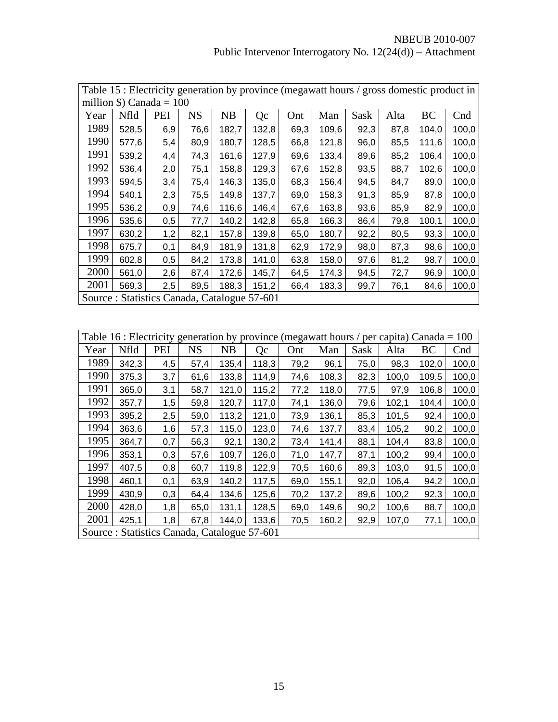| Table 15 : Electricity generation by province (megawatt hours / gross domestic product in |       |     |           |       |       |      |       |      |      |       |       |
|-------------------------------------------------------------------------------------------|-------|-----|-----------|-------|-------|------|-------|------|------|-------|-------|
| million $\text{\$}$ ) Canada = 100                                                        |       |     |           |       |       |      |       |      |      |       |       |
| Year                                                                                      | Nfld  | PEI | <b>NS</b> | NB    | Qc    | Ont  | Man   | Sask | Alta | BC    | Cnd   |
| 1989                                                                                      | 528,5 | 6,9 | 76,6      | 182,7 | 132,8 | 69,3 | 109,6 | 92,3 | 87,8 | 104,0 | 100,0 |
| 1990                                                                                      | 577,6 | 5,4 | 80,9      | 180,7 | 128,5 | 66,8 | 121,8 | 96,0 | 85,5 | 111,6 | 100,0 |
| 1991                                                                                      | 539,2 | 4,4 | 74,3      | 161,6 | 127,9 | 69,6 | 133,4 | 89,6 | 85,2 | 106,4 | 100,0 |
| 1992                                                                                      | 536,4 | 2,0 | 75,1      | 158,8 | 129,3 | 67,6 | 152,8 | 93,5 | 88,7 | 102,6 | 100,0 |
| 1993                                                                                      | 594,5 | 3,4 | 75,4      | 146,3 | 135,0 | 68,3 | 156,4 | 94,5 | 84,7 | 89,0  | 100,0 |
| 1994                                                                                      | 540,1 | 2,3 | 75,5      | 149,8 | 137,7 | 69,0 | 158,3 | 91,3 | 85,9 | 87,8  | 100,0 |
| 1995                                                                                      | 536,2 | 0,9 | 74,6      | 116,6 | 146,4 | 67,6 | 163,8 | 93,6 | 85,9 | 82,9  | 100,0 |
| 1996                                                                                      | 535,6 | 0,5 | 77,7      | 140,2 | 142,8 | 65,8 | 166,3 | 86,4 | 79,8 | 100,1 | 100,0 |
| 1997                                                                                      | 630,2 | 1,2 | 82,1      | 157,8 | 139,8 | 65,0 | 180,7 | 92,2 | 80,5 | 93,3  | 100,0 |
| 1998                                                                                      | 675,7 | 0,1 | 84,9      | 181,9 | 131,8 | 62,9 | 172,9 | 98,0 | 87,3 | 98,6  | 100,0 |
| 1999                                                                                      | 602,8 | 0,5 | 84,2      | 173,8 | 141,0 | 63,8 | 158,0 | 97,6 | 81,2 | 98,7  | 100,0 |
| 2000                                                                                      | 561,0 | 2,6 | 87,4      | 172,6 | 145,7 | 64,5 | 174,3 | 94,5 | 72,7 | 96,9  | 100,0 |
| 2001                                                                                      | 569,3 | 2,5 | 89,5      | 188,3 | 151,2 | 66,4 | 183,3 | 99,7 | 76,1 | 84,6  | 100,0 |
| Source: Statistics Canada, Catalogue 57-601                                               |       |     |           |       |       |      |       |      |      |       |       |

| Table 16 : Electricity generation by province (megawatt hours / per capita) Canada = 100 |                                             |     |           |           |       |      |       |      |       |       |       |
|------------------------------------------------------------------------------------------|---------------------------------------------|-----|-----------|-----------|-------|------|-------|------|-------|-------|-------|
| Year                                                                                     | Nfld                                        | PEI | <b>NS</b> | <b>NB</b> | Qc    | Ont  | Man   | Sask | Alta  | BC    | Cnd   |
| 1989                                                                                     | 342,3                                       | 4,5 | 57,4      | 135,4     | 118,3 | 79,2 | 96,1  | 75,0 | 98,3  | 102,0 | 100,0 |
| 1990                                                                                     | 375,3                                       | 3,7 | 61,6      | 133,8     | 114,9 | 74,6 | 108,3 | 82,3 | 100,0 | 109,5 | 100,0 |
| 1991                                                                                     | 365,0                                       | 3,1 | 58,7      | 121,0     | 115,2 | 77,2 | 118,0 | 77,5 | 97,9  | 106,8 | 100,0 |
| 1992                                                                                     | 357,7                                       | 1,5 | 59,8      | 120,7     | 117,0 | 74,1 | 136,0 | 79,6 | 102,1 | 104,4 | 100,0 |
| 1993                                                                                     | 395,2                                       | 2,5 | 59,0      | 113,2     | 121,0 | 73,9 | 136,1 | 85,3 | 101,5 | 92,4  | 100,0 |
| 1994                                                                                     | 363,6                                       | 1,6 | 57,3      | 115,0     | 123,0 | 74,6 | 137,7 | 83,4 | 105,2 | 90,2  | 100,0 |
| 1995                                                                                     | 364,7                                       | 0,7 | 56,3      | 92,1      | 130,2 | 73,4 | 141,4 | 88,1 | 104,4 | 83,8  | 100,0 |
| 1996                                                                                     | 353,1                                       | 0,3 | 57,6      | 109,7     | 126,0 | 71,0 | 147,7 | 87,1 | 100,2 | 99,4  | 100,0 |
| 1997                                                                                     | 407,5                                       | 0,8 | 60,7      | 119,8     | 122,9 | 70,5 | 160,6 | 89,3 | 103,0 | 91,5  | 100,0 |
| 1998                                                                                     | 460,1                                       | 0,1 | 63,9      | 140,2     | 117,5 | 69,0 | 155,1 | 92,0 | 106,4 | 94,2  | 100,0 |
| 1999                                                                                     | 430,9                                       | 0,3 | 64,4      | 134,6     | 125,6 | 70,2 | 137,2 | 89,6 | 100,2 | 92,3  | 100,0 |
| 2000                                                                                     | 428,0                                       | 1,8 | 65,0      | 131,1     | 128,5 | 69,0 | 149,6 | 90,2 | 100,6 | 88,7  | 100,0 |
| 2001                                                                                     | 425,1                                       | 1,8 | 67,8      | 144,0     | 133,6 | 70,5 | 160,2 | 92,9 | 107,0 | 77,1  | 100,0 |
|                                                                                          | Source: Statistics Canada, Catalogue 57-601 |     |           |           |       |      |       |      |       |       |       |